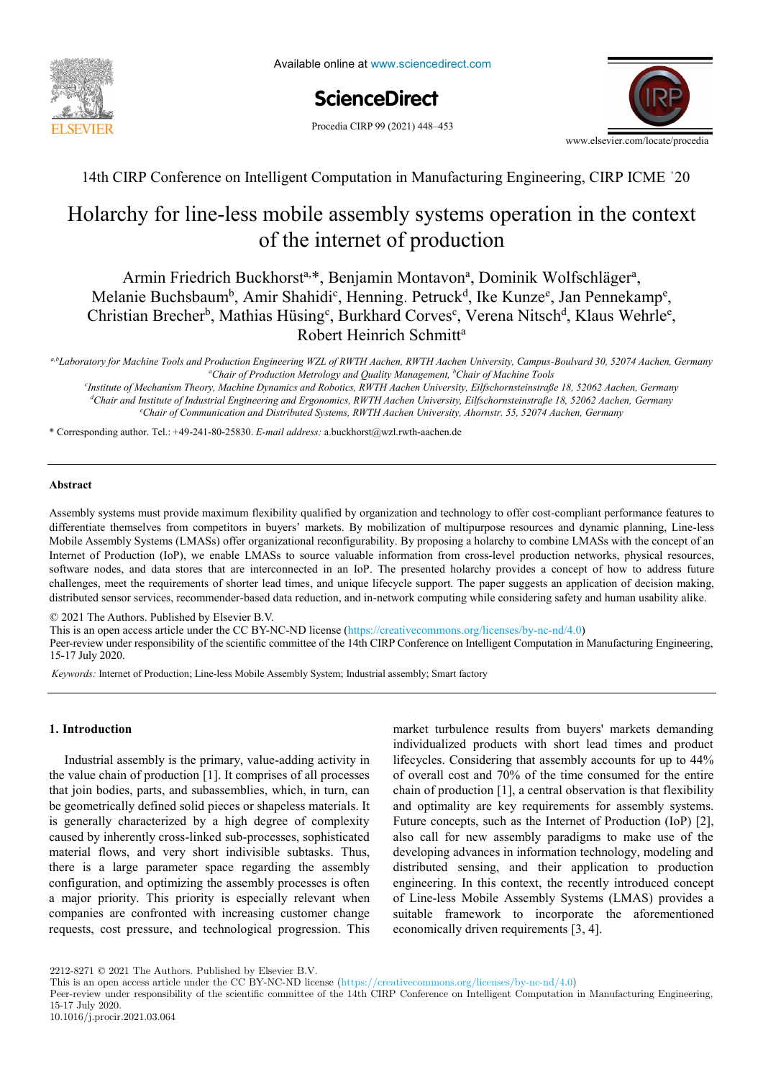

# ScienceDirect

Procedia CIRP 99 (2021) 448-453



14th CIRP Conference on Intelligent Computation in Manufacturing Engineering, CIRP ICME ˈ20 14th CIRP Conference on Intelligent Computation in Manufacturing Engineering, CIRP ICME ˈ20

## Holarchy for line-less mobile assembly systems operation in the context A new methodology to analyze the functional and physical architecture of of the internet of production of the internet of production

Armin Friedrich Buckhorst<sup>a,\*</sup>, Benjamin Montavon<sup>a</sup>, Dominik Wolfschläger<sup>a</sup>, Christian Brecher<sup>b</sup>, Mathias Hüsing<sup>c</sup>, Burkhard Corves<sup>c</sup>, Verena Nitsch<sup>d</sup>, Klaus Wehrle<sup>e</sup>, *École Nationale Supérieure d'Arts et Métiers, Arts et Métiers ParisTech, LCFC EA 4495, 4 Rue Augustin Fresnel, Metz 57078, France*  , Melanie Buchsbaum<sup>b</sup>, Amir Shahidi<sup>c</sup>, Henning. Petruck<sup>d</sup>, Ike Kunze<sup>e</sup>, Jan Pennekamp<sup>e</sup>, Robert Heinrich Schmitt<sup>a</sup>

<sup>a</sup>Chair of Production Metrology and Quality Management, b http://www.co.html/hachen. RWTH Aachen University, Campus-Boulvard 30, 52074 Aachen, Germany. هوال المعاملة المستعدد<br>AChain Achatin Maturlesu and Ourlin Managamus hChain Alashin Technic Boulvard 30, 52074 Aachen, Germany

*Chair of Production Metrology and Quality Management, b Chair of Machine Tools c Chair of Machine Tools c* Chair and Institute of Industrial Explanation and Exponential Contract Chiversity, Edgewormseting 18, 52002 Heenen, Germany<br>
<sup>d</sup>Chair and Institute of Industrial Engineering and Exponentia, RWTH Aachen University, Elischto Chair of Communication and Distributed Systems, RWTH Aachen University, England Islamic For, 52002 Hachen, Germany<br>Chair of Communication and Distributed Systems, RWTH Aachen University, Ahornstr. 55, 52074 Aachen, Germany *Institute of Mechanism Theory, Machine Dynamics and Robotics, RWTH Aachen University, Eilfschornsteinstraße 18, 52062 Aachen, Germany d*

In today's business environment, the trend towards more product variety and customization is unbroken. Due to this development, the need of

**Abstract**  \* Corresponding author. Tel.: +49-241-80-25830. *E-mail address:* a.buckhorst@wzl.rwth-aachen.de \* Corresponding author. Tel.: +49-241-80-25830. *E-mail address:* a.buckhorst@wzl.rwth-aachen.de

#### systems as to choose the optimal product matches, product analysis methods are needed. In the known methods and  $\alpha$ **Abstract Abstract**

Assembly systems must provide maximum flexibility qualified by organization and technology to offer cost-compliant performance features to differentiate themselves from competitors in buyers' markets. By mobilization and technology to once cost-computant performance reading to differentiate themselves from competitors in buyers' markets. By mobilization of mu Mobile Assembly Systems (LMASs) offer organizational reconfigurability. By proposing a holarchy to combine LMASs with the concept of an Internet of Production (IoP), we enable LMASs to source valuable information from cross-level production networks, physical resources, software nodes, and data stores that are interconnected in an IoP. The presented holarchy provides a concept of how to address future challenges, meet the requirements of shorter lead times, and unique lifecycle support. The paper suggests an application of decision making distributed sensor services, recommender-based data reduction, and in-network computing while considering safety and human usability alike. differentiate themselves from competitors in buyers' markets. By mobilization of multipurpose resources and dynamic planning, Line-less challenges, meet the requirements of shorter lead times, and unique lifecycle support. The paper suggests an application of decision making, challenges, meet the requirements of shorter lead times, and unique lifecycle support. The paper suggests an application of decision making, distributed sensor services, recommender-based data reduction, and in-network computing while considering safety and human usability alike.

© 2021 The Authors. Published by Elsevier B.V.

This is an open access article under the CC BY-NC-ND license (https://creativecommons.org/licenses/by-nc-nd/4.0)

Peer-review under responsibility of the scientific committee of the 14th CIRP Conference on Intelligent Computation in Manufacturing Engineering, 15-17 July 2020.

Keywords: Internet of Production; Line-less Mobile Assembly System; Industrial assembly; Smart factory

### **1. Introduction 1. Introduction 1. Introduction**

Industrial assembly is the primary, value-adding activity in the value chain of production  $[1]$ . It comprises of all processes that join bodies, parts, and subassemblies, which, in turn, can that join bodies, parts, and subassemblies, which, in turn, can challenges in today's market environments: a continuing be geometrically defined solid pieces or shapeless materials. It be geometrically defined solid pieces or shapeless materials. It is generally characterized by a high degree of complexity is caused by inherently cross-linked sub-processes, sophisticated examend of customization, and very short indivisible subtasks. Thus, there is a large parameter space regarding the assembly configuration, and optimizing the assembly processes is often a major priority. This priority is especially relevant when companies are confronted with increasing customer change To cope with this augmenting variety as well as to be able to requests, cost pressure, and technological progression. This requests, cost pressure, and technological progression. This market turbulence results from buyers' markets demanding individualized products with short lead times and product modelling and analysis is now not only to cope with single lifecycles. Considering that assembly accounts for up to 44% lifecycles. Considering that assembly accounts for up to 44% of overall cost and 70% of the time consumed for the entire chain of production [1], a central observation is that flexibility end optimality are key requirements for assembly systems. Future concepts, such as the Internet of Production (IoP) [2], reduction (i.e.  $\mu$ ), also call for new assembly paradigms to make use of the developing advances in information technology, modeling and developing advances in information technology, modeling and distributed sensing, and their application to production distributed sensing, and their application to production engineering. In this context, the recently introduced concept Classical methodologies considering mainly single products of Line-less Mobile Assembly Systems (LMAS) provides a of Line-less Mobile Assembly Systems (LMAS) provides a or since the results and the results of the aforementioned suitable framework to incorporate the aforementioned economically driven requirements [3, 4].

2212-8271 $\odot$  2021 The Authors. Published by Elsevier B.V.

Peer-review under responsibility of the scientific committee of the 14th CIRP Conference on Intelligent Computation in Manufacturing Engineering, 10.1016/j.procir.2021.03.064 15-17 July 2020.

This is an open access article under the CC BY-NC-ND license (https://creativecommons.org/licenses/by-nc-nd/4.0)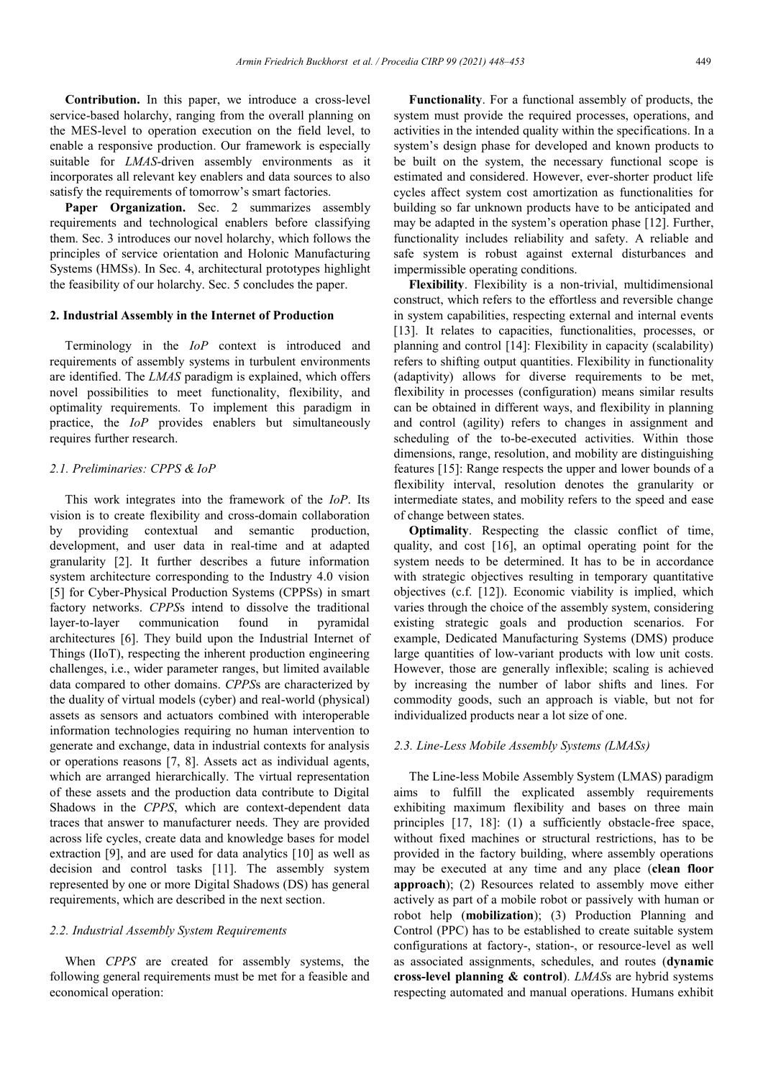**Contribution.** In this paper, we introduce a cross-level service-based holarchy, ranging from the overall planning on the MES-level to operation execution on the field level, to enable a responsive production. Our framework is especially suitable for *LMAS*-driven assembly environments as it incorporates all relevant key enablers and data sources to also satisfy the requirements of tomorrow's smart factories.

Paper Organization. Sec. 2 summarizes assembly requirements and technological enablers before classifying them. Sec. 3 introduces our novel holarchy, which follows the principles of service orientation and Holonic Manufacturing Systems (HMSs). In Sec. 4, architectural prototypes highlight the feasibility of our holarchy. Sec. 5 concludes the paper.

#### **2. Industrial Assembly in the Internet of Production**

Terminology in the *IoP* context is introduced and requirements of assembly systems in turbulent environments are identified. The *LMAS* paradigm is explained, which offers novel possibilities to meet functionality, flexibility, and optimality requirements. To implement this paradigm in practice, the *IoP* provides enablers but simultaneously requires further research.

#### *2.1. Preliminaries: CPPS & IoP*

This work integrates into the framework of the *IoP*. Its vision is to create flexibility and cross-domain collaboration by providing contextual and semantic production, development, and user data in real-time and at adapted granularity [2]. It further describes a future information system architecture corresponding to the Industry 4.0 vision [5] for Cyber-Physical Production Systems (CPPSs) in smart factory networks. *CPPS*s intend to dissolve the traditional layer-to-layer communication found in pyramidal architectures [6]. They build upon the Industrial Internet of Things (IIoT), respecting the inherent production engineering challenges, i.e., wider parameter ranges, but limited available data compared to other domains. *CPPS*s are characterized by the duality of virtual models (cyber) and real-world (physical) assets as sensors and actuators combined with interoperable information technologies requiring no human intervention to generate and exchange, data in industrial contexts for analysis or operations reasons [7, 8]. Assets act as individual agents, which are arranged hierarchically. The virtual representation of these assets and the production data contribute to Digital Shadows in the *CPPS*, which are context-dependent data traces that answer to manufacturer needs. They are provided across life cycles, create data and knowledge bases for model extraction [9], and are used for data analytics [10] as well as decision and control tasks [11]. The assembly system represented by one or more Digital Shadows (DS) has general requirements, which are described in the next section.

#### *2.2. Industrial Assembly System Requirements*

When *CPPS* are created for assembly systems, the following general requirements must be met for a feasible and economical operation:

**Functionality**. For a functional assembly of products, the system must provide the required processes, operations, and activities in the intended quality within the specifications. In a system's design phase for developed and known products to be built on the system, the necessary functional scope is estimated and considered. However, ever-shorter product life cycles affect system cost amortization as functionalities for building so far unknown products have to be anticipated and may be adapted in the system's operation phase [12]. Further, functionality includes reliability and safety. A reliable and safe system is robust against external disturbances and impermissible operating conditions.

**Flexibility**. Flexibility is a non-trivial, multidimensional construct, which refers to the effortless and reversible change in system capabilities, respecting external and internal events [13]. It relates to capacities, functionalities, processes, or planning and control [14]: Flexibility in capacity (scalability) refers to shifting output quantities. Flexibility in functionality (adaptivity) allows for diverse requirements to be met, flexibility in processes (configuration) means similar results can be obtained in different ways, and flexibility in planning and control (agility) refers to changes in assignment and scheduling of the to-be-executed activities. Within those dimensions, range, resolution, and mobility are distinguishing features [15]: Range respects the upper and lower bounds of a flexibility interval, resolution denotes the granularity or intermediate states, and mobility refers to the speed and ease of change between states.

**Optimality**. Respecting the classic conflict of time, quality, and cost [16], an optimal operating point for the system needs to be determined. It has to be in accordance with strategic objectives resulting in temporary quantitative objectives (c.f. [12]). Economic viability is implied, which varies through the choice of the assembly system, considering existing strategic goals and production scenarios. For example, Dedicated Manufacturing Systems (DMS) produce large quantities of low-variant products with low unit costs. However, those are generally inflexible; scaling is achieved by increasing the number of labor shifts and lines. For commodity goods, such an approach is viable, but not for individualized products near a lot size of one.

#### *2.3. Line-Less Mobile Assembly Systems (LMASs)*

The Line-less Mobile Assembly System (LMAS) paradigm aims to fulfill the explicated assembly requirements exhibiting maximum flexibility and bases on three main principles [17, 18]: (1) a sufficiently obstacle-free space, without fixed machines or structural restrictions, has to be provided in the factory building, where assembly operations may be executed at any time and any place (**clean floor approach**); (2) Resources related to assembly move either actively as part of a mobile robot or passively with human or robot help (**mobilization**); (3) Production Planning and Control (PPC) has to be established to create suitable system configurations at factory-, station-, or resource-level as well as associated assignments, schedules, and routes (**dynamic cross-level planning & control**). *LMAS*s are hybrid systems respecting automated and manual operations. Humans exhibit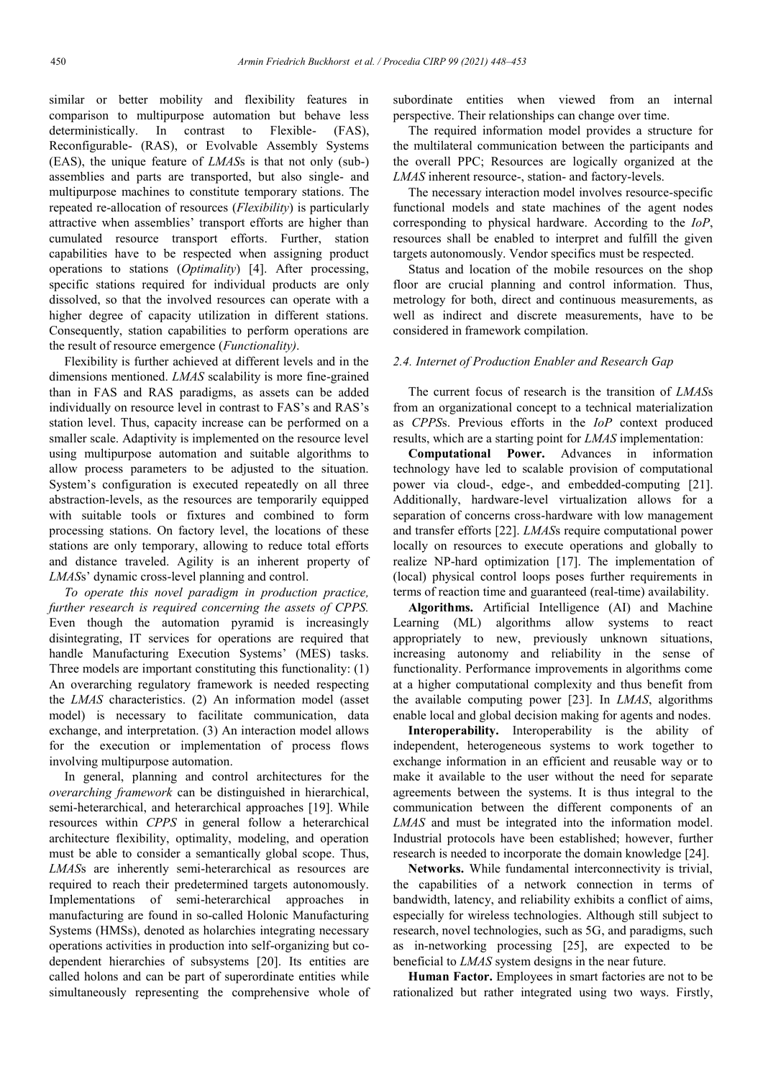similar or better mobility and flexibility features in comparison to multipurpose automation but behave less deterministically. In contrast to Flexible- (FAS), Reconfigurable- (RAS), or Evolvable Assembly Systems (EAS), the unique feature of *LMAS*s is that not only (sub-) assemblies and parts are transported, but also single- and multipurpose machines to constitute temporary stations. The repeated re-allocation of resources (*Flexibility*) is particularly attractive when assemblies' transport efforts are higher than cumulated resource transport efforts. Further, station capabilities have to be respected when assigning product operations to stations (*Optimality*) [4]. After processing, specific stations required for individual products are only dissolved, so that the involved resources can operate with a higher degree of capacity utilization in different stations. Consequently, station capabilities to perform operations are the result of resource emergence (*Functionality)*.

Flexibility is further achieved at different levels and in the dimensions mentioned. *LMAS* scalability is more fine-grained than in FAS and RAS paradigms, as assets can be added individually on resource level in contrast to FAS's and RAS's station level. Thus, capacity increase can be performed on a smaller scale. Adaptivity is implemented on the resource level using multipurpose automation and suitable algorithms to allow process parameters to be adjusted to the situation. System's configuration is executed repeatedly on all three abstraction-levels, as the resources are temporarily equipped with suitable tools or fixtures and combined to form processing stations. On factory level, the locations of these stations are only temporary, allowing to reduce total efforts and distance traveled. Agility is an inherent property of *LMAS*s' dynamic cross-level planning and control.

*To operate this novel paradigm in production practice, further research is required concerning the assets of CPPS.* Even though the automation pyramid is increasingly disintegrating, IT services for operations are required that handle Manufacturing Execution Systems' (MES) tasks. Three models are important constituting this functionality: (1) An overarching regulatory framework is needed respecting the *LMAS* characteristics. (2) An information model (asset model) is necessary to facilitate communication, data exchange, and interpretation. (3) An interaction model allows for the execution or implementation of process flows involving multipurpose automation.

In general, planning and control architectures for the *overarching framework* can be distinguished in hierarchical, semi-heterarchical, and heterarchical approaches [19]. While resources within *CPPS* in general follow a heterarchical architecture flexibility, optimality, modeling, and operation must be able to consider a semantically global scope. Thus, *LMAS*s are inherently semi-heterarchical as resources are required to reach their predetermined targets autonomously. Implementations of semi-heterarchical approaches in manufacturing are found in so-called Holonic Manufacturing Systems (HMSs), denoted as holarchies integrating necessary operations activities in production into self-organizing but codependent hierarchies of subsystems [20]. Its entities are called holons and can be part of superordinate entities while simultaneously representing the comprehensive whole of

subordinate entities when viewed from an internal perspective. Their relationships can change over time.

The required information model provides a structure for the multilateral communication between the participants and the overall PPC; Resources are logically organized at the *LMAS* inherent resource-, station- and factory-levels.

The necessary interaction model involves resource-specific functional models and state machines of the agent nodes corresponding to physical hardware. According to the *IoP*, resources shall be enabled to interpret and fulfill the given targets autonomously. Vendor specifics must be respected.

Status and location of the mobile resources on the shop floor are crucial planning and control information. Thus, metrology for both, direct and continuous measurements, as well as indirect and discrete measurements, have to be considered in framework compilation.

#### *2.4. Internet of Production Enabler and Research Gap*

The current focus of research is the transition of *LMAS*s from an organizational concept to a technical materialization as *CPPS*s. Previous efforts in the *IoP* context produced results, which are a starting point for *LMAS* implementation:

**Computational Power.** Advances in information technology have led to scalable provision of computational power via cloud-, edge-, and embedded-computing [21]. Additionally, hardware-level virtualization allows for a separation of concerns cross-hardware with low management and transfer efforts [22]. *LMAS*s require computational power locally on resources to execute operations and globally to realize NP-hard optimization [17]. The implementation of (local) physical control loops poses further requirements in terms of reaction time and guaranteed (real-time) availability.

**Algorithms.** Artificial Intelligence (AI) and Machine Learning (ML) algorithms allow systems to react appropriately to new, previously unknown situations, increasing autonomy and reliability in the sense of functionality. Performance improvements in algorithms come at a higher computational complexity and thus benefit from the available computing power [23]. In *LMAS*, algorithms enable local and global decision making for agents and nodes.

**Interoperability.** Interoperability is the ability of independent, heterogeneous systems to work together to exchange information in an efficient and reusable way or to make it available to the user without the need for separate agreements between the systems. It is thus integral to the communication between the different components of an *LMAS* and must be integrated into the information model. Industrial protocols have been established; however, further research is needed to incorporate the domain knowledge [24].

**Networks.** While fundamental interconnectivity is trivial, the capabilities of a network connection in terms of bandwidth, latency, and reliability exhibits a conflict of aims, especially for wireless technologies. Although still subject to research, novel technologies, such as 5G, and paradigms, such as in-networking processing [25], are expected to be beneficial to *LMAS* system designs in the near future.

**Human Factor.** Employees in smart factories are not to be rationalized but rather integrated using two ways. Firstly,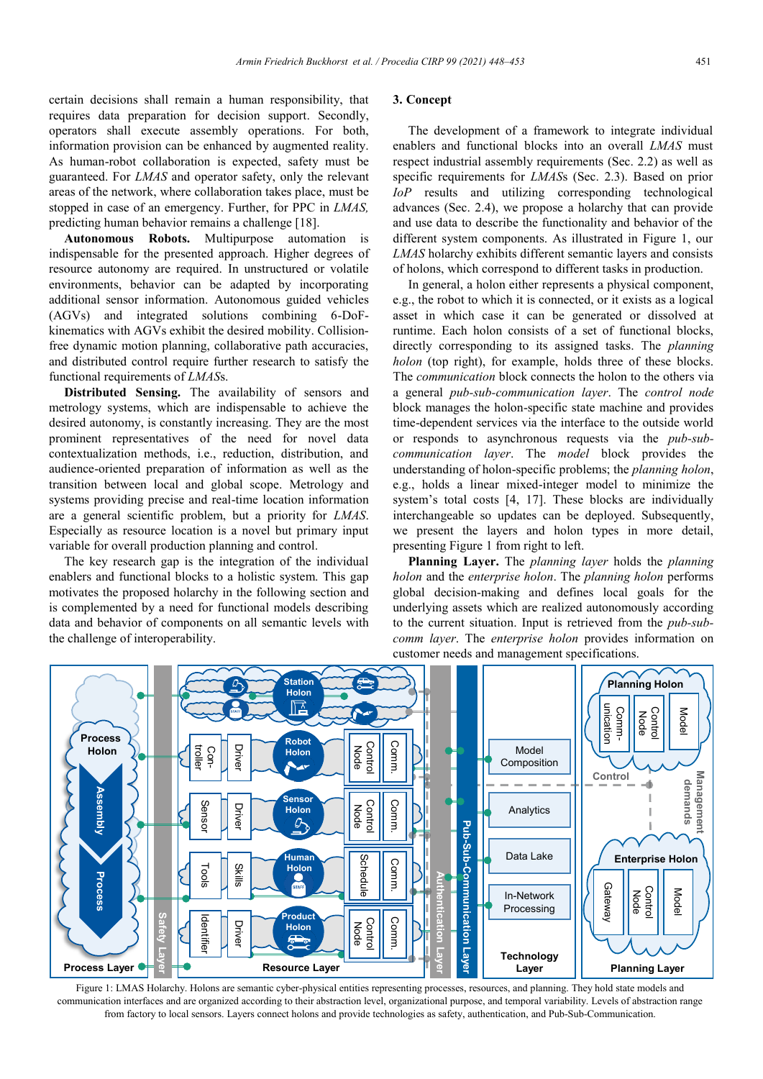certain decisions shall remain a human responsibility, that requires data preparation for decision support. Secondly, operators shall execute assembly operations. For both, information provision can be enhanced by augmented reality. As human-robot collaboration is expected, safety must be guaranteed. For *LMAS* and operator safety, only the relevant areas of the network, where collaboration takes place, must be stopped in case of an emergency. Further, for PPC in *LMAS,* predicting human behavior remains a challenge [18].

**Autonomous Robots.** Multipurpose automation is indispensable for the presented approach. Higher degrees of resource autonomy are required. In unstructured or volatile environments, behavior can be adapted by incorporating additional sensor information. Autonomous guided vehicles (AGVs) and integrated solutions combining 6-DoFkinematics with AGVs exhibit the desired mobility. Collisionfree dynamic motion planning, collaborative path accuracies, and distributed control require further research to satisfy the functional requirements of *LMAS*s.

**Distributed Sensing.** The availability of sensors and metrology systems, which are indispensable to achieve the desired autonomy, is constantly increasing. They are the most prominent representatives of the need for novel data contextualization methods, i.e., reduction, distribution, and audience-oriented preparation of information as well as the transition between local and global scope. Metrology and systems providing precise and real-time location information are a general scientific problem, but a priority for *LMAS*. Especially as resource location is a novel but primary input variable for overall production planning and control.

The key research gap is the integration of the individual enablers and functional blocks to a holistic system. This gap motivates the proposed holarchy in the following section and is complemented by a need for functional models describing data and behavior of components on all semantic levels with the challenge of interoperability.

#### **3. Concept**

The development of a framework to integrate individual enablers and functional blocks into an overall *LMAS* must respect industrial assembly requirements (Sec. 2.2) as well as specific requirements for *LMAS*s (Sec. 2.3). Based on prior *IoP* results and utilizing corresponding technological advances (Sec. 2.4), we propose a holarchy that can provide and use data to describe the functionality and behavior of the different system components. As illustrated in Figure 1, our *LMAS* holarchy exhibits different semantic layers and consists of holons, which correspond to different tasks in production.

In general, a holon either represents a physical component, e.g., the robot to which it is connected, or it exists as a logical asset in which case it can be generated or dissolved at runtime. Each holon consists of a set of functional blocks, directly corresponding to its assigned tasks. The *planning holon* (top right), for example, holds three of these blocks. The *communication* block connects the holon to the others via a general *pub-sub-communication layer*. The *control node* block manages the holon-specific state machine and provides time-dependent services via the interface to the outside world or responds to asynchronous requests via the *pub-subcommunication layer*. The *model* block provides the understanding of holon-specific problems; the *planning holon*, e.g., holds a linear mixed-integer model to minimize the system's total costs [4, 17]. These blocks are individually interchangeable so updates can be deployed. Subsequently, we present the layers and holon types in more detail, presenting Figure 1 from right to left.

**Planning Layer.** The *planning layer* holds the *planning holon* and the *enterprise holon*. The *planning holon* performs global decision-making and defines local goals for the underlying assets which are realized autonomously according to the current situation. Input is retrieved from the *pub-subcomm layer*. The *enterprise holon* provides information on customer needs and management specifications.



Figure 1: LMAS Holarchy. Holons are semantic cyber-physical entities representing processes, resources, and planning. They hold state models and communication interfaces and are organized according to their abstraction level, organizational purpose, and temporal variability. Levels of abstraction range from factory to local sensors. Layers connect holons and provide technologies as safety, authentication, and Pub-Sub-Communication.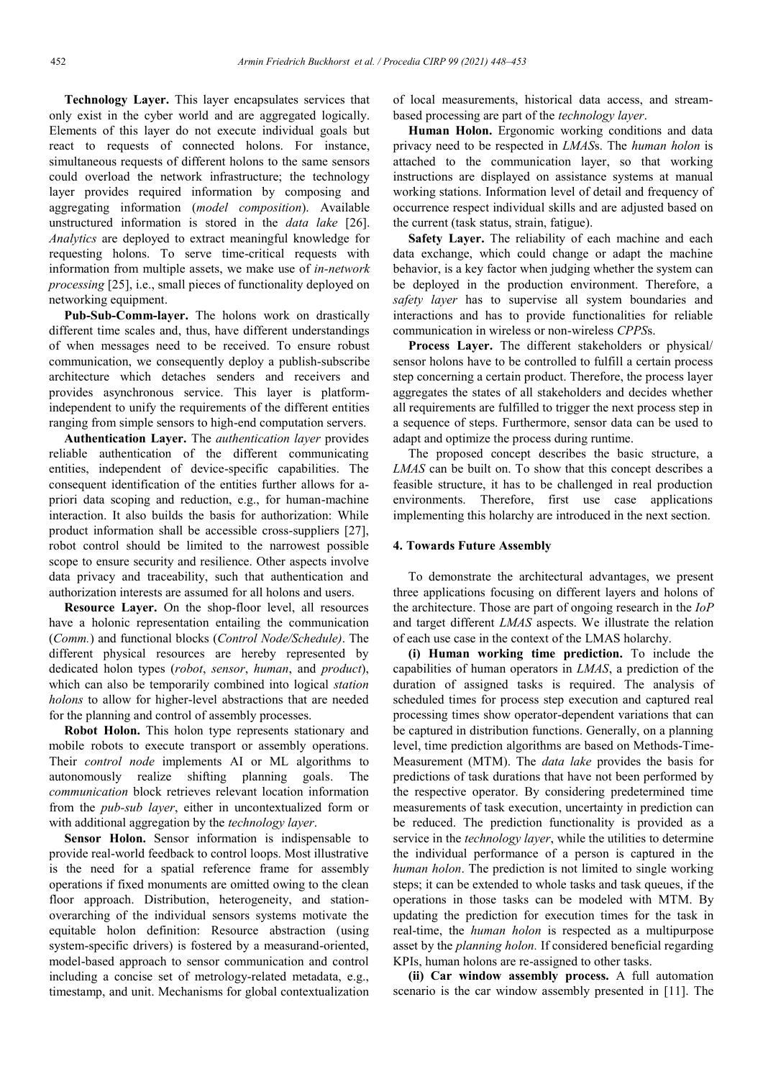**Technology Layer.** This layer encapsulates services that only exist in the cyber world and are aggregated logically. Elements of this layer do not execute individual goals but react to requests of connected holons. For instance, simultaneous requests of different holons to the same sensors could overload the network infrastructure; the technology layer provides required information by composing and aggregating information (*model composition*). Available unstructured information is stored in the *data lake* [26]. *Analytics* are deployed to extract meaningful knowledge for requesting holons. To serve time-critical requests with information from multiple assets, we make use of *in-network processing* [25], i.e., small pieces of functionality deployed on networking equipment.

**Pub-Sub-Comm-layer.** The holons work on drastically different time scales and, thus, have different understandings of when messages need to be received. To ensure robust communication, we consequently deploy a publish-subscribe architecture which detaches senders and receivers and provides asynchronous service. This layer is platformindependent to unify the requirements of the different entities ranging from simple sensors to high-end computation servers.

**Authentication Layer.** The *authentication layer* provides reliable authentication of the different communicating entities, independent of device-specific capabilities. The consequent identification of the entities further allows for apriori data scoping and reduction, e.g., for human-machine interaction. It also builds the basis for authorization: While product information shall be accessible cross-suppliers [27], robot control should be limited to the narrowest possible scope to ensure security and resilience. Other aspects involve data privacy and traceability, such that authentication and authorization interests are assumed for all holons and users.

**Resource Layer.** On the shop-floor level, all resources have a holonic representation entailing the communication (*Comm.*) and functional blocks (*Control Node/Schedule)*. The different physical resources are hereby represented by dedicated holon types (*robot*, *sensor*, *human*, and *product*), which can also be temporarily combined into logical *station holons* to allow for higher-level abstractions that are needed for the planning and control of assembly processes.

**Robot Holon.** This holon type represents stationary and mobile robots to execute transport or assembly operations. Their *control node* implements AI or ML algorithms to autonomously realize shifting planning goals. The *communication* block retrieves relevant location information from the *pub-sub layer*, either in uncontextualized form or with additional aggregation by the *technology layer*.

**Sensor Holon.** Sensor information is indispensable to provide real-world feedback to control loops. Most illustrative is the need for a spatial reference frame for assembly operations if fixed monuments are omitted owing to the clean floor approach. Distribution, heterogeneity, and stationoverarching of the individual sensors systems motivate the equitable holon definition: Resource abstraction (using system-specific drivers) is fostered by a measurand-oriented, model-based approach to sensor communication and control including a concise set of metrology-related metadata, e.g., timestamp, and unit. Mechanisms for global contextualization

of local measurements, historical data access, and streambased processing are part of the *technology layer*.

**Human Holon.** Ergonomic working conditions and data privacy need to be respected in *LMAS*s. The *human holon* is attached to the communication layer, so that working instructions are displayed on assistance systems at manual working stations. Information level of detail and frequency of occurrence respect individual skills and are adjusted based on the current (task status, strain, fatigue).

**Safety Layer.** The reliability of each machine and each data exchange, which could change or adapt the machine behavior, is a key factor when judging whether the system can be deployed in the production environment. Therefore, a *safety layer* has to supervise all system boundaries and interactions and has to provide functionalities for reliable communication in wireless or non-wireless *CPPS*s.

**Process Layer.** The different stakeholders or physical/ sensor holons have to be controlled to fulfill a certain process step concerning a certain product. Therefore, the process layer aggregates the states of all stakeholders and decides whether all requirements are fulfilled to trigger the next process step in a sequence of steps. Furthermore, sensor data can be used to adapt and optimize the process during runtime.

The proposed concept describes the basic structure, a *LMAS* can be built on. To show that this concept describes a feasible structure, it has to be challenged in real production environments. Therefore, first use case applications implementing this holarchy are introduced in the next section.

### **4. Towards Future Assembly**

To demonstrate the architectural advantages, we present three applications focusing on different layers and holons of the architecture. Those are part of ongoing research in the *IoP* and target different *LMAS* aspects. We illustrate the relation of each use case in the context of the LMAS holarchy.

**(i) Human working time prediction.** To include the capabilities of human operators in *LMAS*, a prediction of the duration of assigned tasks is required. The analysis of scheduled times for process step execution and captured real processing times show operator-dependent variations that can be captured in distribution functions. Generally, on a planning level, time prediction algorithms are based on Methods-Time-Measurement (MTM). The *data lake* provides the basis for predictions of task durations that have not been performed by the respective operator. By considering predetermined time measurements of task execution, uncertainty in prediction can be reduced. The prediction functionality is provided as a service in the *technology layer*, while the utilities to determine the individual performance of a person is captured in the *human holon*. The prediction is not limited to single working steps; it can be extended to whole tasks and task queues, if the operations in those tasks can be modeled with MTM. By updating the prediction for execution times for the task in real-time, the *human holon* is respected as a multipurpose asset by the *planning holon.* If considered beneficial regarding KPIs, human holons are re-assigned to other tasks.

**(ii) Car window assembly process.** A full automation scenario is the car window assembly presented in [11]. The